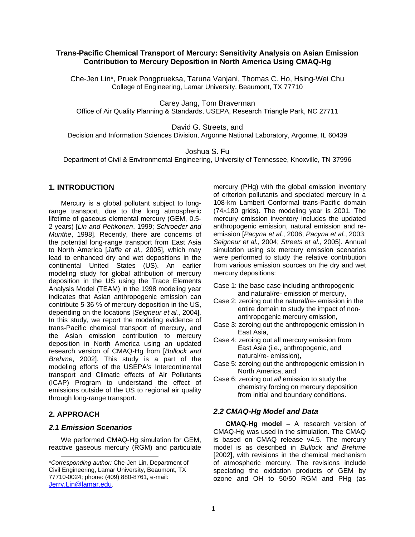### **Trans-Pacific Chemical Transport of Mercury: Sensitivity Analysis on Asian Emission Contribution to Mercury Deposition in North America Using CMAQ-Hg**

Che-Jen Lin\*, Pruek Pongprueksa, Taruna Vanjani, Thomas C. Ho, Hsing-Wei Chu College of Engineering, Lamar University, Beaumont, TX 77710

Carey Jang, Tom Braverman

Office of Air Quality Planning & Standards, USEPA, Research Triangle Park, NC 27711

David G. Streets, and

Decision and Information Sciences Division, Argonne National Laboratory, Argonne, IL 60439

Joshua S. Fu

Department of Civil & Environmental Engineering, University of Tennessee, Knoxville, TN 37996

## **1. INTRODUCTION**

Mercury is a global pollutant subject to longrange transport, due to the long atmospheric lifetime of gaseous elemental mercury (GEM, 0.5- 2 years) [*Lin and Pehkonen*, 1999; *Schroeder and Munthe*, 1998]. Recently, there are concerns of the potential long-range transport from East Asia to North America [*Jaffe et al.*, 2005], which may lead to enhanced dry and wet depositions in the continental United States (US). An earlier modeling study for global attribution of mercury deposition in the US using the Trace Elements Analysis Model (TEAM) in the 1998 modeling year indicates that Asian anthropogenic emission can contribute 5-36 % of mercury deposition in the US, depending on the locations [*Seigneur et al.*, 2004]. In this study, we report the modeling evidence of trans-Pacific chemical transport of mercury, and the Asian emission contribution to mercury deposition in North America using an updated research version of CMAQ-Hg from [*Bullock and Brehme*, 2002]. This study is a part of the modeling efforts of the USEPA's Intercontinental transport and Climatic effects of Air Pollutants (ICAP) Program to understand the effect of emissions outside of the US to regional air quality through long-range transport.

## **2. APPROACH**

1

#### *2.1 Emission Scenarios*

We performed CMAQ-Hg simulation for GEM, reactive gaseous mercury (RGM) and particulate mercury (PHg) with the global emission inventory of criterion pollutants and speciated mercury in a 108-km Lambert Conformal trans-Pacific domain (74×180 grids). The modeling year is 2001. The mercury emission inventory includes the updated anthropogenic emission, natural emission and reemission [*Pacyna et al.*, 2006; *Pacyna et al.*, 2003; *Seigneur et al.*, 2004; *Streets et al.*, 2005]. Annual simulation using six mercury emission scenarios were performed to study the relative contribution from various emission sources on the dry and wet mercury depositions:

- Case 1: the base case including anthropogenic and natural/re- emission of mercury,
- Case 2: zeroing out the natural/re- emission in the entire domain to study the impact of nonanthropogenic mercury emission,
- Case 3: zeroing out the anthropogenic emission in East Asia,
- Case 4: zeroing out all mercury emission from East Asia (i.e., anthropogenic, and natural/re- emission),
- Case 5: zeroing out the anthropogenic emission in North America, and
- Case 6: zeroing out *all* emission to study the chemistry forcing on mercury deposition from initial and boundary conditions.

#### *2.2 CMAQ-Hg Model and Data*

**CMAQ-Hg model –** A research version of CMAQ-Hg was used in the simulation. The CMAQ is based on CMAQ release v4.5. The mercury model is as described in *Bullock and Brehme* [2002], with revisions in the chemical mechanism of atmospheric mercury. The revisions include speciating the oxidation products of GEM by ozone and OH to 50/50 RGM and PHg (as

<sup>\*</sup>*Corresponding author:* Che-Jen Lin, Department of Civil Engineering, Lamar University, Beaumont, TX 77710-0024; phone: (409) 880-8761, e-mail: Jerry.Lin@lamar.edu.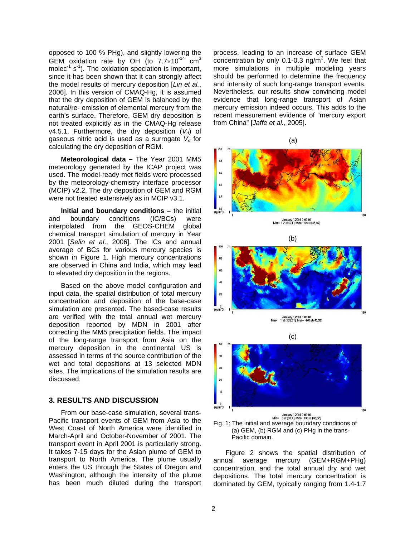opposed to 100 % PHg), and slightly lowering the GEM oxidation rate by OH (to  $7.7 \times 10^{-14}$  cm<sup>3</sup> molec $^{-1}$  s<sup>-1</sup>). The oxidation speciation is important, since it has been shown that it can strongly affect the model results of mercury deposition [*Lin et al.*, 2006]. In this version of CMAQ-Hg, it is assumed that the dry deposition of GEM is balanced by the natural/re- emission of elemental mercury from the earth's surface. Therefore, GEM dry deposition is not treated explicitly as in the CMAQ-Hg release v4.5.1. Furthermore, the dry deposition  $(V_d)$  of gaseous nitric acid is used as a surrogate  $V<sub>d</sub>$  for calculating the dry deposition of RGM.

**Meteorological data –** The Year 2001 MM5 meteorology generated by the ICAP project was used. The model-ready met fields were processed by the meteorology-chemistry interface processor (MCIP) v2.2. The dry deposition of GEM and RGM were not treated extensively as in MCIP v3.1.

**Initial and boundary conditions –** the initial and boundary conditions (IC/BCs) were interpolated from the GEOS-CHEM global chemical transport simulation of mercury in Year 2001 [*Selin et al*., 2006]. The ICs and annual average of BCs for various mercury species is shown in Figure 1. High mercury concentrations are observed in China and India, which may lead to elevated dry deposition in the regions.

Based on the above model configuration and input data, the spatial distribution of total mercury concentration and deposition of the base-case simulation are presented. The based-case results are verified with the total annual wet mercury deposition reported by MDN in 2001 after correcting the MM5 precipitation fields. The impact of the long-range transport from Asia on the mercury deposition in the continental US is assessed in terms of the source contribution of the wet and total depositions at 13 selected MDN sites. The implications of the simulation results are discussed.

#### **3. RESULTS AND DISCUSSION**

From our base-case simulation, several trans-Pacific transport events of GEM from Asia to the West Coast of North America were identified in March-April and October-November of 2001. The transport event in April 2001 is particularly strong. It takes 7-15 days for the Asian plume of GEM to transport to North America. The plume usually enters the US through the States of Oregon and Washington, although the intensity of the plume has been much diluted during the transport process, leading to an increase of surface GEM concentration by only 0.1-0.3 ng/ $m^3$ . We feel that more simulations in multiple modeling years should be performed to determine the frequency and intensity of such long-range transport events. Nevertheless, our results show convincing model evidence that long-range transport of Asian mercury emission indeed occurs. This adds to the recent measurement evidence of "mercury export from China" [*Jaffe et al.*, 2005].

(a) 1.6  $\overline{12}$ 





January 1,2001 0:00:00<br>Min= 1 at (132,31), Max= 478 at (43,39)



Fig. 1: The initial and average boundary conditions of (a) GEM, (b) RGM and (c) PHg in the trans-Pacific domain.

 Figure 2 shows the spatial distribution of annual average mercury (GEM+RGM+PHg) concentration, and the total annual dry and wet depositions. The total mercury concentration is dominated by GEM, typically ranging from 1.4-1.7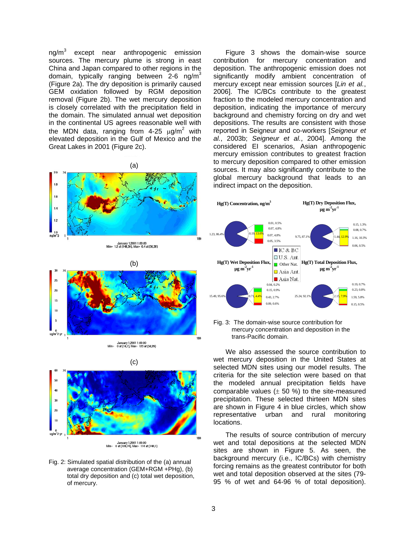ng/m<sup>3</sup> except near anthropogenic emission sources. The mercury plume is strong in east China and Japan compared to other regions in the domain, typically ranging between 2-6 ng/m<sup>3</sup> (Figure 2a). The dry deposition is primarily caused GEM oxidation followed by RGM deposition removal (Figure 2b). The wet mercury deposition is closely correlated with the precipitation field in the domain. The simulated annual wet deposition in the continental US agrees reasonable well with the MDN data, ranging from 4-25  $\mu$ g/m<sup>2</sup> with elevated deposition in the Gulf of Mexico and the Great Lakes in 2001 (Figure 2c).

(a)

Figure 3 shows the domain-wise source contribution for mercury concentration and deposition. The anthropogenic emission does not significantly modify ambient concentration of mercury except near emission sources [*Lin et al.*, 2006]. The IC/BCs contribute to the greatest fraction to the modeled mercury concentration and deposition, indicating the importance of mercury background and chemistry forcing on dry and wet depositions. The results are consistent with those reported in Seigneur and co-workers [*Seigneur et al.*, 2003b; *Seigneur et al.*, 2004]. Among the considered EI scenarios, Asian anthropogenic mercury emission contributes to greatest fraction to mercury deposition compared to other emission sources. It may also significantly contribute to the global mercury background that leads to an indirect impact on the deposition.





January 1,2001 1:00:00<br>Min= 0 at (109,74), Max= 114 at (144,1)

Fig. 2: Simulated spatial distribution of the (a) annual average concentration (GEM+RGM +PHg), (b) total dry deposition and (c) total wet deposition, of mercury.



Fig. 3: The domain-wise source contribution for mercury concentration and deposition in the trans-Pacific domain.

We also assessed the source contribution to wet mercury deposition in the United States at selected MDN sites using our model results. The criteria for the site selection were based on that the modeled annual precipitation fields have comparable values  $(\pm 50 \%)$  to the site-measured precipitation. These selected thirteen MDN sites are shown in Figure 4 in blue circles, which show representative urban and rural monitoring locations.

The results of source contribution of mercury wet and total depositions at the selected MDN sites are shown in Figure 5. As seen, the background mercury (i.e., IC/BCs) with chemistry forcing remains as the greatest contributor for both wet and total deposition observed at the sites (79- 95 % of wet and 64-96 % of total deposition).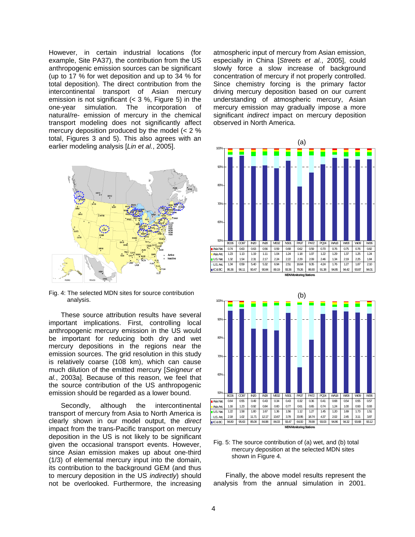However, in certain industrial locations (for example, Site PA37), the contribution from the US anthropogenic emission sources can be significant (up to 17 % for wet deposition and up to 34 % for total deposition). The direct contribution from the intercontinental transport of Asian mercury emission is not significant  $(< 3 %$ , Figure 5) in the one-year simulation. The incorporation of natural/re- emission of mercury in the chemical transport modeling does not significantly affect mercury deposition produced by the model (< 2 % total, Figures 3 and 5). This also agrees with an earlier modeling analysis [*Lin et al.*, 2005].



Fig. 4: The selected MDN sites for source contribution analysis.

These source attribution results have several important implications. First, controlling local anthropogenic mercury emission in the US would be important for reducing both dry and wet mercury depositions in the regions near the emission sources. The grid resolution in this study is relatively coarse (108 km), which can cause much dilution of the emitted mercury [*Seigneur et al.*, 2003a]. Because of this reason, we feel that the source contribution of the US anthropogenic emission should be regarded as a lower bound.

Secondly, although the intercontinental transport of mercury from Asia to North America is clearly shown in our model output, the *direct* impact from the trans-Pacific transport on mercury deposition in the US is not likely to be significant given the occasional transport events. However, since Asian emission makes up about one-third (1/3) of elemental mercury input into the domain, its contribution to the background GEM (and thus to mercury deposition in the US *indirectly*) should not be overlooked. Furthermore, the increasing

atmospheric input of mercury from Asian emission, especially in China [*Streets et al.*, 2005], could slowly force a slow increase of background concentration of mercury if not properly controlled. Since chemistry forcing is the primary factor driving mercury deposition based on our current understanding of atmospheric mercury, Asian mercury emission may gradually impose a more significant *indirect* impact on mercury deposition observed in North America.





Fig. 5: The source contribution of (a) wet, and (b) total mercury deposition at the selected MDN sites shown in Figure 4.

Finally, the above model results represent the analysis from the annual simulation in 2001.